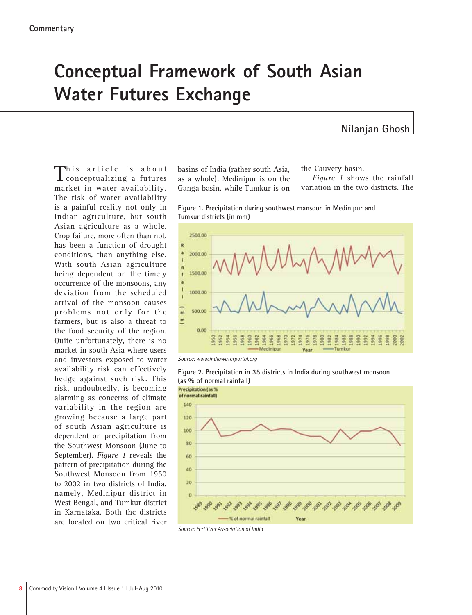## **Conceptual Framework of South Asian Water Futures Exchange**

### **Nilanjan Ghosh**

This article is about<br>conceptualizing a futures market in water availability. The risk of water availability is a painful reality not only in Indian agriculture, but south Asian agriculture as a whole. Crop failure, more often than not, has been a function of drought conditions, than anything else. With south Asian agriculture being dependent on the timely occurrence of the monsoons, any deviation from the scheduled arrival of the monsoon causes problems not only for the farmers, but is also a threat to the food security of the region. Quite unfortunately, there is no market in south Asia where users and investors exposed to water availability risk can effectively hedge against such risk. This risk, undoubtedly, is becoming alarming as concerns of climate variability in the region are growing because a large part of south Asian agriculture is dependent on precipitation from the Southwest Monsoon (June to September). *Figure 1* reveals the pattern of precipitation during the Southwest Monsoon from 1950 to 2002 in two districts of India, namely, Medinipur district in West Bengal, and Tumkur district in Karnataka. Both the districts are located on two critical river

basins of India (rather south Asia, as a whole): Medinipur is on the Ganga basin, while Tumkur is on the Cauvery basin.

*Figure 1* shows the rainfall variation in the two districts. The





*Source: www.indiawaterportal.org*





*Source: Fertilizer Association of India*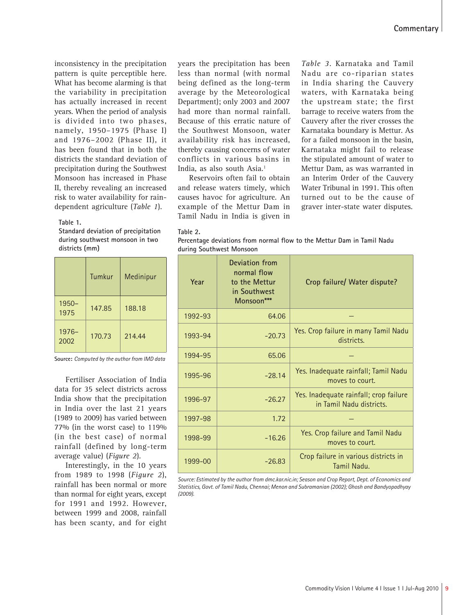inconsistency in the precipitation pattern is quite perceptible here. What has become alarming is that the variability in precipitation has actually increased in recent years. When the period of analysis is divided into two phases, namely, 1950–1975 (Phase I) and 1976–2002 (Phase II), it has been found that in both the districts the standard deviation of precipitation during the Southwest Monsoon has increased in Phase II, thereby revealing an increased risk to water availability for raindependent agriculture (*Table 1*).

#### **Table 1.**

**Standard deviation of precipitation during southwest monsoon in two districts (mm)**

|                  | Tumkur | Medinipur |
|------------------|--------|-----------|
| $1950 -$<br>1975 | 147.85 | 188.18    |
| $1976 -$<br>2002 | 170.73 | 214.44    |

**Source:** *Computed by the author from IMD data*

Fertiliser Association of India data for 35 select districts across India show that the precipitation in India over the last 21 years (1989 to 2009) has varied between 77% (in the worst case) to 119% (in the best case) of normal rainfall (defined by long-term average value) (*Figure 2*).

Interestingly, in the 10 years from 1989 to 1998 (*Figure 2*), rainfall has been normal or more than normal for eight years, except for 1991 and 1992. However, between 1999 and 2008, rainfall has been scanty, and for eight

years the precipitation has been less than normal (with normal being defined as the long-term average by the Meteorological Department); only 2003 and 2007 had more than normal rainfall. Because of this erratic nature of the Southwest Monsoon, water availability risk has increased, thereby causing concerns of water conflicts in various basins in India, as also south Asia.<sup>1</sup>

Reservoirs often fail to obtain and release waters timely, which causes havoc for agriculture. An example of the Mettur Dam in Tamil Nadu in India is given in

*Table 3*. Karnataka and Tamil Nadu are co-riparian states in India sharing the Cauvery waters, with Karnataka being the upstream state; the first barrage to receive waters from the Cauvery after the river crosses the Karnataka boundary is Mettur. As for a failed monsoon in the basin, Karnataka might fail to release the stipulated amount of water to Mettur Dam, as was warranted in an Interim Order of the Cauvery Water Tribunal in 1991. This often turned out to be the cause of graver inter-state water disputes.

#### **Table 2.**

**Percentage deviations from normal flow to the Mettur Dam in Tamil Nadu during Southwest Monsoon**

| Year    | <b>Deviation from</b><br>normal flow<br>to the Mettur<br>in Southwest<br>Monsoon*** | Crop failure/ Water dispute?                                       |
|---------|-------------------------------------------------------------------------------------|--------------------------------------------------------------------|
| 1992-93 | 64.06                                                                               |                                                                    |
| 1993-94 | $-20.73$                                                                            | Yes. Crop failure in many Tamil Nadu<br>districts.                 |
| 1994-95 | 65.06                                                                               |                                                                    |
| 1995-96 | $-28.14$                                                                            | Yes. Inadequate rainfall; Tamil Nadu<br>moves to court.            |
| 1996-97 | $-26.27$                                                                            | Yes. Inadequate rainfall; crop failure<br>in Tamil Nadu districts. |
| 1997-98 | 1.72                                                                                |                                                                    |
| 1998-99 | $-16.26$                                                                            | Yes. Crop failure and Tamil Nadu<br>moves to court.                |
| 1999-00 | $-26.83$                                                                            | Crop failure in various districts in<br>Tamil Nadu.                |

*Source: Estimated by the author from dmc.kar.nic.in; Season and Crop Report, Dept. of Economics and Statistics, Govt. of Tamil Nadu, Chennai; Menon and Subramanian (2002); Ghosh and Bandyopadhyay (2009).*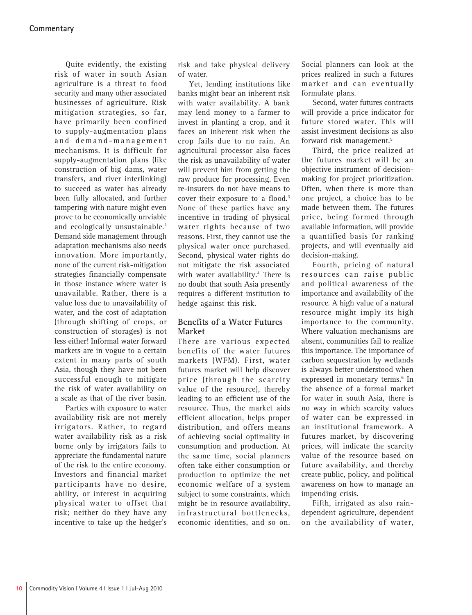Quite evidently, the existing risk of water in south Asian agriculture is a threat to food security and many other associated businesses of agriculture. Risk mitigation strategies, so far, have primarily been confined to supply-augmentation plans and demand-management mechanisms. It is difficult for supply-augmentation plans (like construction of big dams, water transfers, and river interlinking) to succeed as water has already been fully allocated, and further tampering with nature might even prove to be economically unviable and ecologically unsustainable.<sup>2</sup> Demand side management through adaptation mechanisms also needs innovation. More importantly, none of the current risk-mitigation strategies financially compensate in those instance where water is unavailable. Rather, there is a value loss due to unavailability of water, and the cost of adaptation (through shifting of crops, or construction of storages) is not less either! Informal water forward markets are in vogue to a certain extent in many parts of south Asia, though they have not been successful enough to mitigate the risk of water availability on a scale as that of the river basin.

Parties with exposure to water availability risk are not merely irrigators. Rather, to regard water availability risk as a risk borne only by irrigators fails to appreciate the fundamental nature of the risk to the entire economy. Investors and financial market participants have no desire, ability, or interest in acquiring physical water to offset that risk; neither do they have any incentive to take up the hedger's

risk and take physical delivery of water.

Yet, lending institutions like banks might bear an inherent risk with water availability. A bank may lend money to a farmer to invest in planting a crop, and it faces an inherent risk when the crop fails due to no rain. An agricultural processor also faces the risk as unavailability of water will prevent him from getting the raw produce for processing. Even re-insurers do not have means to cover their exposure to a flood.<sup>3</sup> None of these parties have any incentive in trading of physical water rights because of two reasons. First, they cannot use the physical water once purchased. Second, physical water rights do not mitigate the risk associated with water availability.<sup>4</sup> There is no doubt that south Asia presently requires a different institution to hedge against this risk.

#### **Benefits of a Water Futures Market**

There are various expected benefits of the water futures markets (WFM). First, water futures market will help discover price (through the scarcity value of the resource), thereby leading to an efficient use of the resource. Thus, the market aids efficient allocation, helps proper distribution, and offers means of achieving social optimality in consumption and production. At the same time, social planners often take either consumption or production to optimize the net economic welfare of a system subject to some constraints, which might be in resource availability, infrastructural bottlenecks, economic identities, and so on. Social planners can look at the prices realized in such a futures market and can eventually formulate plans.

Second, water futures contracts will provide a price indicator for future stored water. This will assist investment decisions as also forward risk management.<sup>5</sup>

Third, the price realized at the futures market will be an objective instrument of decisionmaking for project prioritization. Often, when there is more than one project, a choice has to be made between them. The futures price, being formed through available information, will provide a quantified basis for ranking projects, and will eventually aid decision-making.

Fourth, pricing of natural resources can raise public and political awareness of the importance and availability of the resource. A high value of a natural resource might imply its high importance to the community. Where valuation mechanisms are absent, communities fail to realize this importance. The importance of carbon sequestration by wetlands is always better understood when expressed in monetary terms.<sup>6</sup> In the absence of a formal market for water in south Asia, there is no way in which scarcity values of water can be expressed in an institutional framework. A futures market, by discovering prices, will indicate the scarcity value of the resource based on future availability, and thereby create public, policy, and political awareness on how to manage an impending crisis.

Fifth, irrigated as also raindependent agriculture, dependent on the availability of water,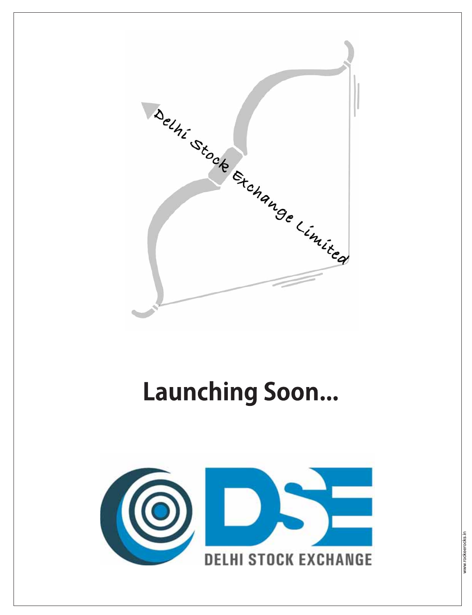

# **Launching Soon...**

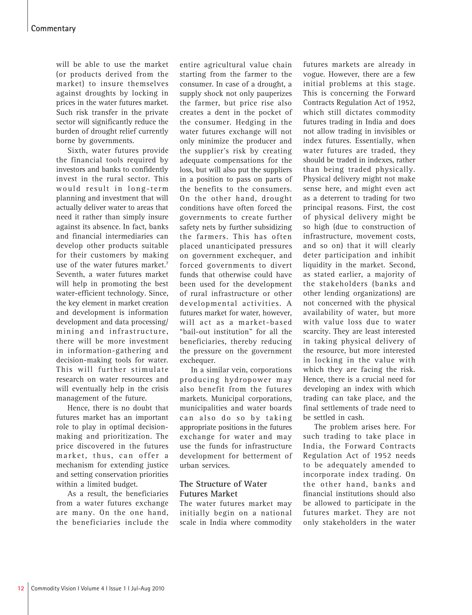will be able to use the market (or products derived from the market) to insure themselves against droughts by locking in prices in the water futures market. Such risk transfer in the private sector will significantly reduce the burden of drought relief currently borne by governments.

Sixth, water futures provide the financial tools required by investors and banks to confidently invest in the rural sector. This would result in long-term planning and investment that will actually deliver water to areas that need it rather than simply insure against its absence. In fact, banks and financial intermediaries can develop other products suitable for their customers by making use of the water futures market.<sup>7</sup> Seventh, a water futures market will help in promoting the best water-efficient technology. Since, the key element in market creation and development is information development and data processing/ mining and infrastructure, there will be more investment in information-gathering and decision-making tools for water. This will further stimulate research on water resources and will eventually help in the crisis management of the future.

Hence, there is no doubt that futures market has an important role to play in optimal decisionmaking and prioritization. The price discovered in the futures market, thus, can offer a mechanism for extending justice and setting conservation priorities within a limited budget.

As a result, the beneficiaries from a water futures exchange are many. On the one hand, the beneficiaries include the entire agricultural value chain starting from the farmer to the consumer. In case of a drought, a supply shock not only pauperizes the farmer, but price rise also creates a dent in the pocket of the consumer. Hedging in the water futures exchange will not only minimize the producer and the supplier's risk by creating adequate compensations for the loss, but will also put the suppliers in a position to pass on parts of the benefits to the consumers. On the other hand, drought conditions have often forced the governments to create further safety nets by further subsidizing the farmers. This has often placed unanticipated pressures on government exchequer, and forced governments to divert funds that otherwise could have been used for the development of rural infrastructure or other developmental activities. A futures market for water, however, will act as a market-based "bail-out institution" for all the beneficiaries, thereby reducing the pressure on the government exchequer.

In a similar vein, corporations producing hydropower may also benefit from the futures markets. Municipal corporations, municipalities and water boards can also do so by taking appropriate positions in the futures exchange for water and may use the funds for infrastructure development for betterment of urban services.

#### **The Structure of Water Futures Market**

The water futures market may initially begin on a national scale in India where commodity futures markets are already in vogue. However, there are a few initial problems at this stage. This is concerning the Forward Contracts Regulation Act of 1952, which still dictates commodity futures trading in India and does not allow trading in invisibles or index futures. Essentially, when water futures are traded, they should be traded in indexes, rather than being traded physically. Physical delivery might not make sense here, and might even act as a deterrent to trading for two principal reasons. First, the cost of physical delivery might be so high (due to construction of infrastructure, movement costs, and so on) that it will clearly deter participation and inhibit liquidity in the market. Second, as stated earlier, a majority of the stakeholders (banks and other lending organizations) are not concerned with the physical availability of water, but more with value loss due to water scarcity. They are least interested in taking physical delivery of the resource, but more interested in locking in the value with which they are facing the risk. Hence, there is a crucial need for developing an index with which trading can take place, and the final settlements of trade need to be settled in cash.

The problem arises here. For such trading to take place in India, the Forward Contracts Regulation Act of 1952 needs to be adequately amended to incorporate index trading. On the other hand, banks and financial institutions should also be allowed to participate in the futures market. They are not only stakeholders in the water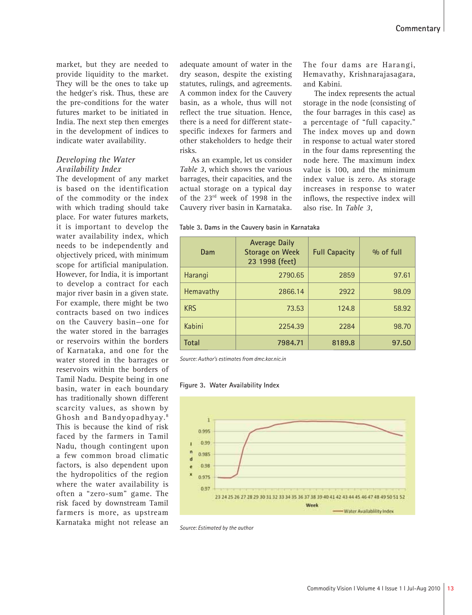market, but they are needed to provide liquidity to the market. They will be the ones to take up the hedger's risk. Thus, these are the pre-conditions for the water futures market to be initiated in India. The next step then emerges in the development of indices to indicate water availability.

#### *Developing the Water Availability Index*

The development of any market is based on the identification of the commodity or the index with which trading should take place. For water futures markets, it is important to develop the water availability index, which needs to be independently and objectively priced, with minimum scope for artificial manipulation. However, for India, it is important to develop a contract for each major river basin in a given state. For example, there might be two contracts based on two indices on the Cauvery basin—one for the water stored in the barrages or reservoirs within the borders of Karnataka, and one for the water stored in the barrages or reservoirs within the borders of Tamil Nadu. Despite being in one basin, water in each boundary has traditionally shown different scarcity values, as shown by Ghosh and Bandyopadhyay.8 This is because the kind of risk faced by the farmers in Tamil Nadu, though contingent upon a few common broad climatic factors, is also dependent upon the hydropolitics of the region where the water availability is often a "zero-sum" game. The risk faced by downstream Tamil farmers is more, as upstream Karnataka might not release an adequate amount of water in the dry season, despite the existing statutes, rulings, and agreements. A common index for the Cauvery basin, as a whole, thus will not reflect the true situation. Hence, there is a need for different statespecific indexes for farmers and other stakeholders to hedge their risks.

As an example, let us consider *Table 3*, which shows the various barrages, their capacities, and the actual storage on a typical day of the 23rd week of 1998 in the Cauvery river basin in Karnataka.

**Table 3. Dams in the Cauvery basin in Karnataka**

The four dams are Harangi, Hemavathy, Krishnarajasagara, and Kabini.

The index represents the actual storage in the node (consisting of the four barrages in this case) as a percentage of "full capacity." The index moves up and down in response to actual water stored in the four dams representing the node here. The maximum index value is 100, and the minimum index value is zero. As storage increases in response to water inflows, the respective index will also rise. In *Table 3*,

| Dam        | <b>Average Daily</b><br><b>Storage on Week</b><br>23 1998 (feet) | <b>Full Capacity</b> | $%$ of full |
|------------|------------------------------------------------------------------|----------------------|-------------|
| Harangi    | 2790.65                                                          | 2859                 | 97.61       |
| Hemavathy  | 2866.14                                                          | 2922                 | 98.09       |
| <b>KRS</b> | 73.53                                                            | 124.8                | 58.92       |
| Kabini     | 2254.39                                                          | 2284                 | 98.70       |
| Total      | 7984.71                                                          | 8189.8               | 97.50       |

*Source: Author's estimates from dmc.kar.nic.in* 

**Figure 3. Water Availability Index**



*Source: Estimated by the author*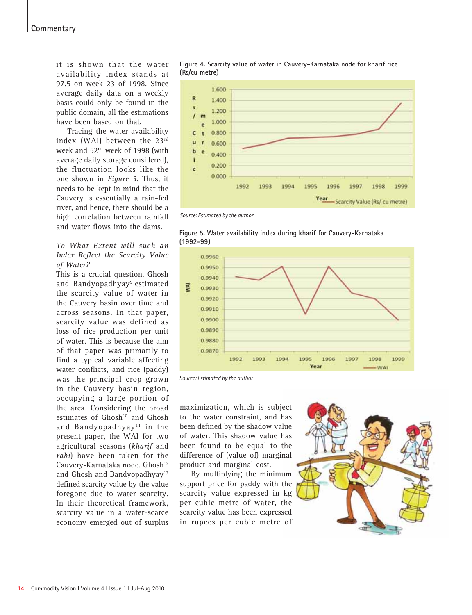it is shown that the water availability index stands at 97.5 on week 23 of 1998. Since average daily data on a weekly basis could only be found in the public domain, all the estimations have been based on that.

Tracing the water availability index (WAI) between the 23rd week and 52nd week of 1998 (with average daily storage considered), the fluctuation looks like the one shown in *Figure 3*. Thus, it needs to be kept in mind that the Cauvery is essentially a rain-fed river, and hence, there should be a high correlation between rainfall and water flows into the dams.

#### *To What Extent will such an Index Reflect the Scarcity Value of Water?*

This is a crucial question. Ghosh and Bandyopadhyay<sup>9</sup> estimated the scarcity value of water in the Cauvery basin over time and across seasons. In that paper, scarcity value was defined as loss of rice production per unit of water. This is because the aim of that paper was primarily to find a typical variable affecting water conflicts, and rice (paddy) was the principal crop grown in the Cauvery basin region, occupying a large portion of the area. Considering the broad estimates of Ghosh<sup>10</sup> and Ghosh and Bandyopadhyay $11$  in the present paper, the WAI for two agricultural seasons (*kharif* and *rabi*) have been taken for the Cauvery-Karnataka node. Ghosh<sup>12</sup> and Ghosh and Bandyopadhyay<sup>13</sup> defined scarcity value by the value foregone due to water scarcity. In their theoretical framework, scarcity value in a water-scarce economy emerged out of surplus **Figure 4. Scarcity value of water in Cauvery-Karnataka node for kharif rice (Rs/cu metre)**



*Source: Estimated by the author*





maximization, which is subject to the water constraint, and has been defined by the shadow value

1992

1993

1994

1995

Year

1996

*Source: Estimated by the author*

0.9900 0.9890 0.9880 0.9870

of water. This shadow value has been found to be equal to the difference of (value of) marginal product and marginal cost.

By multiplying the minimum support price for paddy with the scarcity value expressed in kg per cubic metre of water, the scarcity value has been expressed in rupees per cubic metre of



1997

1999

1998

**WAI**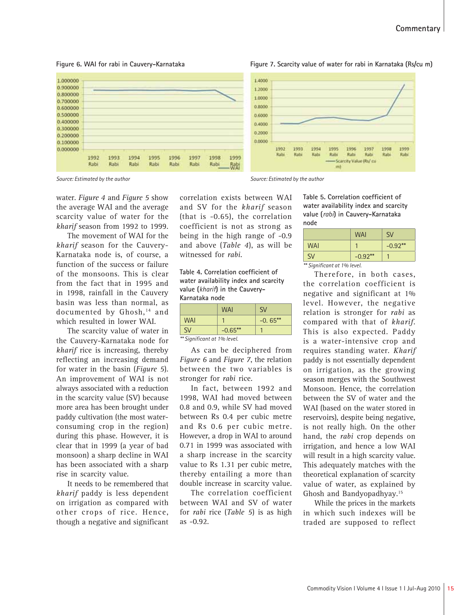**Figure 6. WAI for rabi in Cauvery-Karnataka**







*Source: Estimated by the author*



The movement of WAI for the *kharif* season for the Cauvery-Karnataka node is, of course, a function of the success or failure of the monsoons. This is clear from the fact that in 1995 and in 1998, rainfall in the Cauvery basin was less than normal, as documented by Ghosh,<sup>14</sup> and which resulted in lower WAI.

The scarcity value of water in the Cauvery-Karnataka node for *kharif* rice is increasing, thereby reflecting an increasing demand for water in the basin (*Figure 5*). An improvement of WAI is not always associated with a reduction in the scarcity value (SV) because more area has been brought under paddy cultivation (the most waterconsuming crop in the region) during this phase. However, it is clear that in 1999 (a year of bad monsoon) a sharp decline in WAI has been associated with a sharp rise in scarcity value.

It needs to be remembered that *kharif* paddy is less dependent on irrigation as compared with other crops of rice. Hence, though a negative and significant correlation exists between WAI and SV for the *kharif* season (that is -0.65), the correlation coefficient is not as strong as being in the high range of -0.9 and above (*Table 4*), as will be witnessed for *rabi*.

**Table 4. Correlation coefficient of water availability index and scarcity value (***kharif***) in the Cauvery-Karnataka node**

|                         | <b>WAI</b> | SV         |  |  |
|-------------------------|------------|------------|--|--|
| <b>WAI</b>              |            | $-0.65***$ |  |  |
| <b>SV</b>               | $-0.65***$ |            |  |  |
| $\sim$<br>$\cdots$<br>. |            |            |  |  |

*\*\* Significant at 1% level.*

As can be deciphered from *Figure 6* and *Figure 7*, the relation between the two variables is stronger for *rabi* rice.

In fact, between 1992 and 1998, WAI had moved between 0.8 and 0.9, while SV had moved between Rs 0.4 per cubic metre and Rs 0.6 per cubic metre. However, a drop in WAI to around 0.71 in 1999 was associated with a sharp increase in the scarcity value to Rs 1.31 per cubic metre, thereby entailing a more than double increase in scarcity value.

The correlation coefficient between WAI and SV of water for *rabi* rice (*Table 5*) is as high as -0.92.

**Table 5. Correlation coefficient of water availability index and scarcity value (***rabi***) in Cauvery-Karnataka node**

|            | <b>WAI</b> | <b>SV</b>  |
|------------|------------|------------|
| <b>WAI</b> |            | $-0.92***$ |
| SV         | $-0.92***$ |            |
|            |            |            |

*\*\* Significant at 1% level.*

Therefore, in both cases, the correlation coefficient is negative and significant at 1% level. However, the negative relation is stronger for *rabi* as compared with that of *kharif*. This is also expected. Paddy is a water-intensive crop and requires standing water. *Kharif* paddy is not essentially dependent on irrigation, as the growing season merges with the Southwest Monsoon. Hence, the correlation between the SV of water and the WAI (based on the water stored in reservoirs), despite being negative, is not really high. On the other hand, the *rabi* crop depends on irrigation, and hence a low WAI will result in a high scarcity value. This adequately matches with the theoretical explanation of scarcity value of water, as explained by Ghosh and Bandyopadhyay.15

While the prices in the markets in which such indexes will be traded are supposed to reflect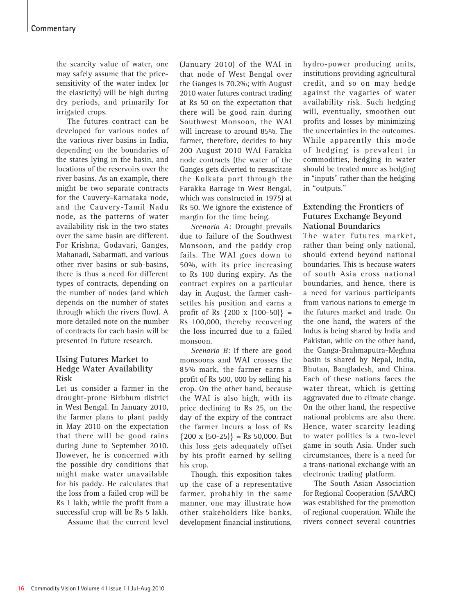the scarcity value of water, one may safely assume that the pricesensitivity of the water index (or the elasticity) will be high during dry periods, and primarily for irrigated crops.

The futures contract can be developed for various nodes of the various river basins in India, depending on the boundaries of the states lying in the basin, and locations of the reservoirs over the river basins. As an example, there might be two separate contracts for the Cauvery-Karnataka node, and the Cauvery-Tamil Nadu node, as the patterns of water availability risk in the two states over the same basin are different. For Krishna, Godavari, Ganges, Mahanadi, Sabarmati, and various other river basins or sub-basins, there is thus a need for different types of contracts, depending on the number of nodes (and which depends on the number of states through which the rivers flow). A more detailed note on the number of contracts for each basin will be presented in future research.

#### **Using Futures Market to Hedge Water Availability Risk**

Let us consider a farmer in the drought-prone Birbhum district in West Bengal. In January 2010, the farmer plans to plant paddy in May 2010 on the expectation that there will be good rains during June to September 2010. However, he is concerned with the possible dry conditions that might make water unavailable for his paddy. He calculates that the loss from a failed crop will be Rs 1 lakh, while the profit from a successful crop will be Rs 5 lakh.

Assume that the current level

(January 2010) of the WAI in that node of West Bengal over the Ganges is 70.2%; with August 2010 water futures contract trading at Rs 50 on the expectation that there will be good rain during Southwest Monsoon, the WAI will increase to around 85%. The farmer, therefore, decides to buy 200 August 2010 WAI Farakka node contracts (the water of the Ganges gets diverted to resuscitate the Kolkata port through the Farakka Barrage in West Bengal, which was constructed in 1975) at Rs 50. We ignore the existence of margin for the time being.

*Scenario A:* Drought prevails due to failure of the Southwest Monsoon, and the paddy crop fails. The WAI goes down to 50%, with its price increasing to Rs 100 during expiry. As the contract expires on a particular day in August, the farmer cashsettles his position and earns a profit of Rs  $\{200 \times (100-50)\}$  = Rs 100,000, thereby recovering the loss incurred due to a failed monsoon.

*Scenario B:* If there are good monsoons and WAI crosses the 85% mark, the farmer earns a profit of Rs 500, 000 by selling his crop. On the other hand, because the WAI is also high, with its price declining to Rs 25, on the day of the expiry of the contract the farmer incurs a loss of Rs  ${200 \times (50-25)} = \text{Rs } 50,000$ . But this loss gets adequately offset by his profit earned by selling his crop.

Though, this exposition takes up the case of a representative farmer, probably in the same manner, one may illustrate how other stakeholders like banks, development financial institutions, hydro-power producing units, institutions providing agricultural credit, and so on may hedge against the vagaries of water availability risk. Such hedging will, eventually, smoothen out profits and losses by minimizing the uncertainties in the outcomes. While apparently this mode of hedging is prevalent in commodities, hedging in water should be treated more as hedging in "inputs" rather than the hedging in "outputs."

#### **Extending the Frontiers of Futures Exchange Beyond National Boundaries**

The water futures market, rather than being only national, should extend beyond national boundaries. This is because waters of south Asia cross national boundaries, and hence, there is a need for various participants from various nations to emerge in the futures market and trade. On the one hand, the waters of the Indus is being shared by India and Pakistan, while on the other hand, the Ganga-Brahmaputra-Meghna basin is shared by Nepal, India, Bhutan, Bangladesh, and China. Each of these nations faces the water threat, which is getting aggravated due to climate change. On the other hand, the respective national problems are also there. Hence, water scarcity leading to water politics is a two-level game in south Asia. Under such circumstances, there is a need for a trans-national exchange with an electronic trading platform.

The South Asian Association for Regional Cooperation (SAARC) was established for the promotion of regional cooperation. While the rivers connect several countries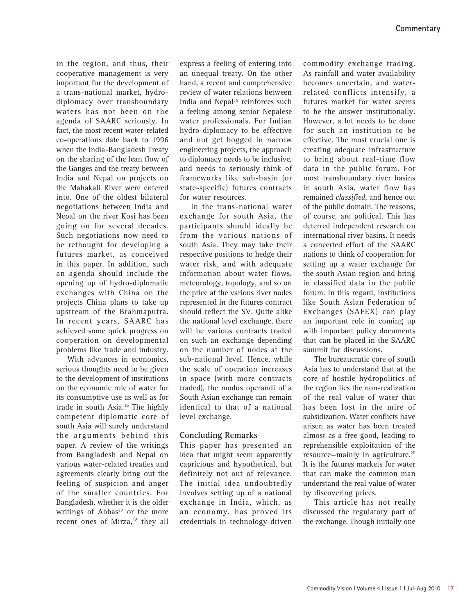in the region, and thus, their cooperative management is very important for the development of a trans-national market, hydrodiplomacy over transboundary waters has not been on the agenda of SAARC seriously. In fact, the most recent water-related co-operations date back to 1996 when the India-Bangladesh Treaty on the sharing of the lean flow of the Ganges and the treaty between India and Nepal on projects on the Mahakali River were entered into. One of the oldest bilateral negotiations between India and Nepal on the river Kosi has been going on for several decades. Such negotiations now need to be rethought for developing a futures market, as conceived in this paper. In addition, such an agenda should include the opening up of hydro-diplomatic exchanges with China on the projects China plans to take up upstream of the Brahmaputra. In recent years, SAARC has achieved some quick progress on cooperation on developmental problems like trade and industry.

With advances in economics, serious thoughts need to be given to the development of institutions on the economic role of water for its consumptive use as well as for trade in south Asia.<sup>16</sup> The highly competent diplomatic core of south Asia will surely understand the arguments behind this paper. A review of the writings from Bangladesh and Nepal on various water-related treaties and agreements clearly bring out the feeling of suspicion and anger of the smaller countries. For Bangladesh, whether it is the older writings of  $Abbas<sup>17</sup>$  or the more recent ones of Mirza,<sup>18</sup> they all express a feeling of entering into an unequal treaty. On the other hand, a recent and comprehensive review of water relations between India and Nepal<sup>19</sup> reinforces such a feeling among senior Nepalese water professionals. For Indian hydro-diplomacy to be effective and not get bogged in narrow engineering projects, the approach to diplomacy needs to be inclusive, and needs to seriously think of frameworks like sub-basin (or state-specific) futures contracts for water resources.

In the trans-national water exchange for south Asia, the participants should ideally be from the various nations of south Asia. They may take their respective positions to hedge their water risk, and with adequate information about water flows, meteorology, topology, and so on the price at the various river nodes represented in the futures contract should reflect the SV. Quite alike the national level exchange, there will be various contracts traded on such an exchange depending on the number of nodes at the sub-national level. Hence, while the scale of operation increases in space (with more contracts traded), the modus operandi of a South Asian exchange can remain identical to that of a national level exchange.

#### **Concluding Remarks**

This paper has presented an idea that might seem apparently capricious and hypothetical, but definitely not out of relevance. The initial idea undoubtedly involves setting up of a national exchange in India, which, as an economy, has proved its credentials in technology-driven

commodity exchange trading. As rainfall and water availability becomes uncertain, and waterrelated conflicts intensify, a futures market for water seems to be the answer institutionally. However, a lot needs to be done for such an institution to be effective. The most crucial one is creating adequate infrastructure to bring about real-time flow data in the public forum. For most transboundary river basins in south Asia, water flow has remained *classified*, and hence out of the public domain. The reasons, of course, are political. This has deterred independent research on international river basins. It needs a concerted effort of the SAARC nations to think of cooperation for setting up a water exchange for the south Asian region and bring in classified data in the public forum. In this regard, institutions like South Asian Federation of Exchanges (SAFEX) can play an important role in coming up with important policy documents that can be placed in the SAARC summit for discussions.

The bureaucratic core of south Asia has to understand that at the core of hostile hydropolitics of the region lies the non-realization of the real value of water that has been lost in the mire of subsidization. Water conflicts have arisen as water has been treated almost as a free good, leading to reprehensible exploitation of the resource–mainly in agriculture.<sup>20</sup> It is the futures markets for water that can make the common man understand the real value of water by discovering prices.

This article has not really discussed the regulatory part of the exchange. Though initially one